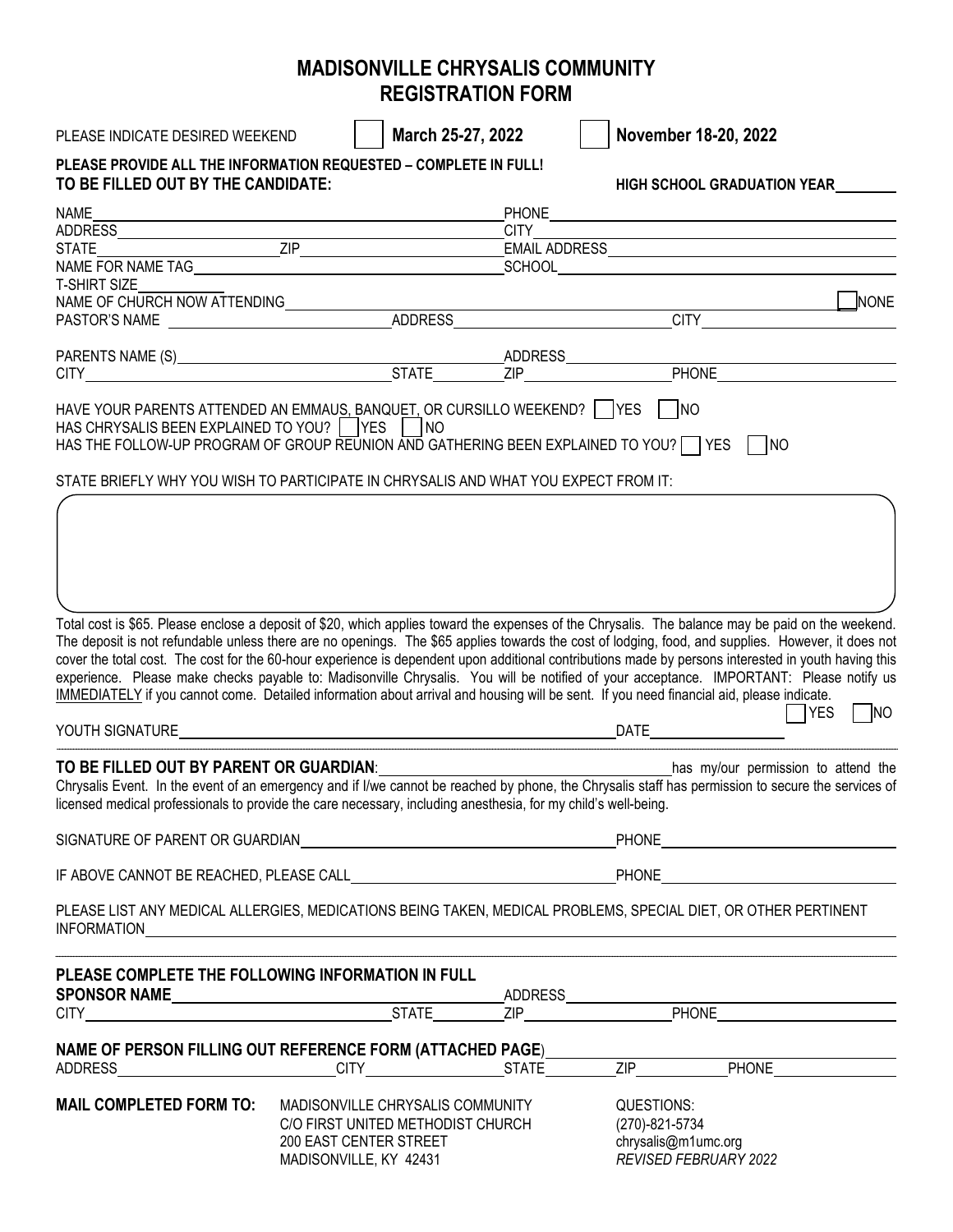## **MADISONVILLE CHRYSALIS COMMUNITY REGISTRATION FORM**

| PLEASE INDICATE DESIRED WEEKEND                                                                                                                                                                                                                                                                                                                                                                                                                                                                                                                                                                                                                                                                                                                        |                                                             | March 25-27, 2022 |             |            | November 18-20, 2022                  |                     |  |
|--------------------------------------------------------------------------------------------------------------------------------------------------------------------------------------------------------------------------------------------------------------------------------------------------------------------------------------------------------------------------------------------------------------------------------------------------------------------------------------------------------------------------------------------------------------------------------------------------------------------------------------------------------------------------------------------------------------------------------------------------------|-------------------------------------------------------------|-------------------|-------------|------------|---------------------------------------|---------------------|--|
| PLEASE PROVIDE ALL THE INFORMATION REQUESTED - COMPLETE IN FULL!                                                                                                                                                                                                                                                                                                                                                                                                                                                                                                                                                                                                                                                                                       |                                                             |                   |             |            |                                       |                     |  |
| TO BE FILLED OUT BY THE CANDIDATE:                                                                                                                                                                                                                                                                                                                                                                                                                                                                                                                                                                                                                                                                                                                     |                                                             |                   |             |            | HIGH SCHOOL GRADUATION YEAR           |                     |  |
| <b>NAME</b>                                                                                                                                                                                                                                                                                                                                                                                                                                                                                                                                                                                                                                                                                                                                            |                                                             |                   |             |            |                                       |                     |  |
|                                                                                                                                                                                                                                                                                                                                                                                                                                                                                                                                                                                                                                                                                                                                                        |                                                             |                   | <b>CITY</b> |            |                                       |                     |  |
|                                                                                                                                                                                                                                                                                                                                                                                                                                                                                                                                                                                                                                                                                                                                                        |                                                             |                   |             |            |                                       |                     |  |
| <b>T-SHIRT SIZE</b>                                                                                                                                                                                                                                                                                                                                                                                                                                                                                                                                                                                                                                                                                                                                    |                                                             |                   |             |            |                                       |                     |  |
|                                                                                                                                                                                                                                                                                                                                                                                                                                                                                                                                                                                                                                                                                                                                                        |                                                             |                   |             |            |                                       | $\blacksquare$ NONE |  |
|                                                                                                                                                                                                                                                                                                                                                                                                                                                                                                                                                                                                                                                                                                                                                        |                                                             |                   |             |            |                                       |                     |  |
|                                                                                                                                                                                                                                                                                                                                                                                                                                                                                                                                                                                                                                                                                                                                                        |                                                             |                   |             |            |                                       |                     |  |
|                                                                                                                                                                                                                                                                                                                                                                                                                                                                                                                                                                                                                                                                                                                                                        |                                                             |                   |             |            |                                       |                     |  |
|                                                                                                                                                                                                                                                                                                                                                                                                                                                                                                                                                                                                                                                                                                                                                        |                                                             |                   |             |            |                                       |                     |  |
| HAVE YOUR PARENTS ATTENDED AN EMMAUS, BANQUET, OR CURSILLO WEEKEND?     YES       NO<br>HAS CHRYSALIS BEEN EXPLAINED TO YOU?   YES   NO<br>HAS THE FOLLOW-UP PROGRAM OF GROUP REUNION AND GATHERING BEEN EXPLAINED TO YOU? TYES                                                                                                                                                                                                                                                                                                                                                                                                                                                                                                                        |                                                             |                   |             |            |                                       |                     |  |
| STATE BRIEFLY WHY YOU WISH TO PARTICIPATE IN CHRYSALIS AND WHAT YOU EXPECT FROM IT:                                                                                                                                                                                                                                                                                                                                                                                                                                                                                                                                                                                                                                                                    |                                                             |                   |             |            |                                       |                     |  |
| Total cost is \$65. Please enclose a deposit of \$20, which applies toward the expenses of the Chrysalis. The balance may be paid on the weekend.<br>The deposit is not refundable unless there are no openings. The \$65 applies towards the cost of lodging, food, and supplies. However, it does not<br>cover the total cost. The cost for the 60-hour experience is dependent upon additional contributions made by persons interested in youth having this<br>experience. Please make checks payable to: Madisonville Chrysalis. You will be notified of your acceptance. IMPORTANT: Please notify us<br>IMMEDIATELY if you cannot come. Detailed information about arrival and housing will be sent. If you need financial aid, please indicate. |                                                             |                   |             |            |                                       | YES<br>  NO         |  |
|                                                                                                                                                                                                                                                                                                                                                                                                                                                                                                                                                                                                                                                                                                                                                        |                                                             |                   |             |            |                                       |                     |  |
| TO BE FILLED OUT BY PARENT OR GUARDIAN: University of the STATE of the STATE of the STATE of the STATE of the<br>Chrysalis Event. In the event of an emergency and if I/we cannot be reached by phone, the Chrysalis staff has permission to secure the services of<br>licensed medical professionals to provide the care necessary, including anesthesia, for my child's well-being.                                                                                                                                                                                                                                                                                                                                                                  |                                                             |                   |             |            | has my/our permission to attend the   |                     |  |
|                                                                                                                                                                                                                                                                                                                                                                                                                                                                                                                                                                                                                                                                                                                                                        |                                                             |                   |             |            |                                       |                     |  |
|                                                                                                                                                                                                                                                                                                                                                                                                                                                                                                                                                                                                                                                                                                                                                        |                                                             |                   |             |            |                                       |                     |  |
| PLEASE LIST ANY MEDICAL ALLERGIES, MEDICATIONS BEING TAKEN, MEDICAL PROBLEMS, SPECIAL DIET, OR OTHER PERTINENT                                                                                                                                                                                                                                                                                                                                                                                                                                                                                                                                                                                                                                         |                                                             |                   |             |            |                                       |                     |  |
| PLEASE COMPLETE THE FOLLOWING INFORMATION IN FULL                                                                                                                                                                                                                                                                                                                                                                                                                                                                                                                                                                                                                                                                                                      |                                                             |                   |             |            |                                       |                     |  |
|                                                                                                                                                                                                                                                                                                                                                                                                                                                                                                                                                                                                                                                                                                                                                        |                                                             |                   |             |            |                                       |                     |  |
| NAME OF PERSON FILLING OUT REFERENCE FORM (ATTACHED PAGE)                                                                                                                                                                                                                                                                                                                                                                                                                                                                                                                                                                                                                                                                                              |                                                             |                   |             |            |                                       |                     |  |
|                                                                                                                                                                                                                                                                                                                                                                                                                                                                                                                                                                                                                                                                                                                                                        |                                                             |                   |             |            |                                       |                     |  |
| MAIL COMPLETED FORM TO:                                                                                                                                                                                                                                                                                                                                                                                                                                                                                                                                                                                                                                                                                                                                | MADISONVILLE CHRYSALIS COMMUNITY                            |                   |             | QUESTIONS: |                                       |                     |  |
|                                                                                                                                                                                                                                                                                                                                                                                                                                                                                                                                                                                                                                                                                                                                                        | C/O FIRST UNITED METHODIST CHURCH<br>200 EAST CENTER STREET |                   |             |            | (270)-821-5734<br>chrysalis@m1umc.org |                     |  |
|                                                                                                                                                                                                                                                                                                                                                                                                                                                                                                                                                                                                                                                                                                                                                        | MADISONVILLE, KY 42431                                      |                   |             |            | REVISED FEBRUARY 2022                 |                     |  |